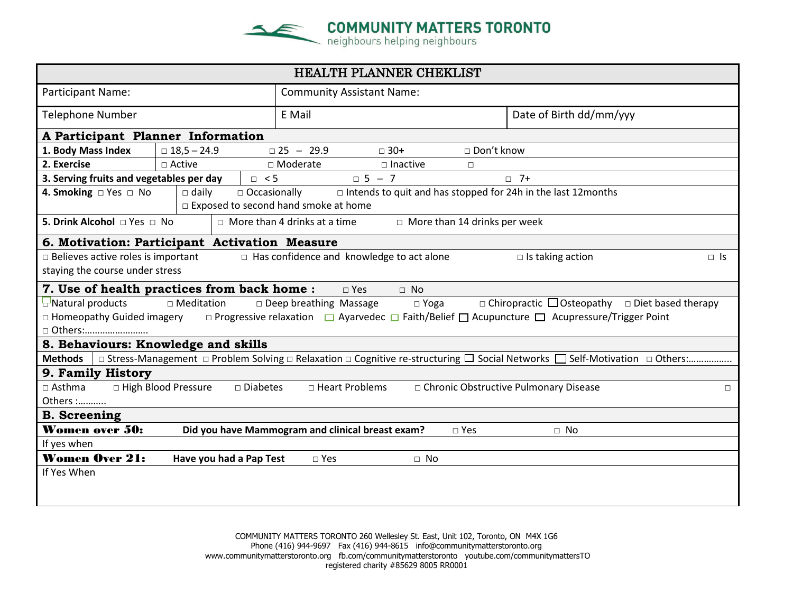

| HEALTH PLANNER CHEKLIST                                                                                                                                                            |                                                                      |                                                  |                            |  |  |  |  |  |  |
|------------------------------------------------------------------------------------------------------------------------------------------------------------------------------------|----------------------------------------------------------------------|--------------------------------------------------|----------------------------|--|--|--|--|--|--|
| Participant Name:                                                                                                                                                                  |                                                                      | <b>Community Assistant Name:</b>                 |                            |  |  |  |  |  |  |
| <b>Telephone Number</b>                                                                                                                                                            |                                                                      | E Mail                                           | Date of Birth dd/mm/yyy    |  |  |  |  |  |  |
| A Participant Planner Information                                                                                                                                                  |                                                                      |                                                  |                            |  |  |  |  |  |  |
| 1. Body Mass Index                                                                                                                                                                 | □ Don't know<br>$\Box$ 25 - 29.9<br>$\Box$ 30+<br>$\Box$ 18,5 - 24.9 |                                                  |                            |  |  |  |  |  |  |
| 2. Exercise                                                                                                                                                                        | □ Active                                                             | □ Moderate<br>$\square$ Inactive<br>$\Box$       |                            |  |  |  |  |  |  |
| $\overline{0}$ 5 – 7<br>$\Box$ 7+<br>3. Serving fruits and vegetables per day<br>$\Box$ < 5                                                                                        |                                                                      |                                                  |                            |  |  |  |  |  |  |
| $\Box$ Intends to quit and has stopped for 24h in the last 12months<br>4. Smoking $\Box$ Yes $\Box$ No<br>$\Box$ daily<br>□ Occasionally<br>□ Exposed to second hand smoke at home |                                                                      |                                                  |                            |  |  |  |  |  |  |
| 5. Drink Alcohol □ Yes □ No<br>$\Box$ More than 14 drinks per week<br>$\Box$ More than 4 drinks at a time                                                                          |                                                                      |                                                  |                            |  |  |  |  |  |  |
| 6. Motivation: Participant Activation Measure                                                                                                                                      |                                                                      |                                                  |                            |  |  |  |  |  |  |
| $\Box$ Believes active roles is important<br>$\Box$ Has confidence and knowledge to act alone<br>$\Box$ Is taking action<br>$\Box$ Is                                              |                                                                      |                                                  |                            |  |  |  |  |  |  |
| staying the course under stress                                                                                                                                                    |                                                                      |                                                  |                            |  |  |  |  |  |  |
| 7. Use of health practices from back home :<br>$\Box$ No<br>$\square$ Yes                                                                                                          |                                                                      |                                                  |                            |  |  |  |  |  |  |
| $\Box$ Natural products<br>$\Box$ Meditation<br>$\Box$ Chiropractic $\Box$ Osteopathy $\Box$ Diet based therapy<br>$\Box$ Deep breathing Massage<br>$\Box$ Yoga                    |                                                                      |                                                  |                            |  |  |  |  |  |  |
| □ Progressive relaxation □ Ayarvedec □ Faith/Belief □ Acupuncture □ Acupressure/Trigger Point<br>$\Box$ Homeopathy Guided imagery                                                  |                                                                      |                                                  |                            |  |  |  |  |  |  |
| □ Others:                                                                                                                                                                          |                                                                      |                                                  |                            |  |  |  |  |  |  |
| 8. Behaviours: Knowledge and skills                                                                                                                                                |                                                                      |                                                  |                            |  |  |  |  |  |  |
| □ Stress-Management □ Problem Solving □ Relaxation □ Cognitive re-structuring □ Social Networks □ Self-Motivation □ Others:<br><b>Methods</b>                                      |                                                                      |                                                  |                            |  |  |  |  |  |  |
| 9. Family History                                                                                                                                                                  |                                                                      |                                                  |                            |  |  |  |  |  |  |
| □ High Blood Pressure<br>$\Box$ Asthma<br>□ Diabetes<br>□ Heart Problems<br>□ Chronic Obstructive Pulmonary Disease                                                                |                                                                      |                                                  |                            |  |  |  |  |  |  |
| Others :                                                                                                                                                                           |                                                                      |                                                  |                            |  |  |  |  |  |  |
| <b>B.</b> Screening                                                                                                                                                                |                                                                      |                                                  |                            |  |  |  |  |  |  |
| Women over 50:                                                                                                                                                                     |                                                                      | Did you have Mammogram and clinical breast exam? | $\square$ Yes<br>$\Box$ No |  |  |  |  |  |  |
| If yes when                                                                                                                                                                        |                                                                      |                                                  |                            |  |  |  |  |  |  |
| <b>Women Over 21:</b>                                                                                                                                                              | Have you had a Pap Test                                              | $\square$ Yes<br>$\Box$ No                       |                            |  |  |  |  |  |  |
| If Yes When                                                                                                                                                                        |                                                                      |                                                  |                            |  |  |  |  |  |  |
|                                                                                                                                                                                    |                                                                      |                                                  |                            |  |  |  |  |  |  |